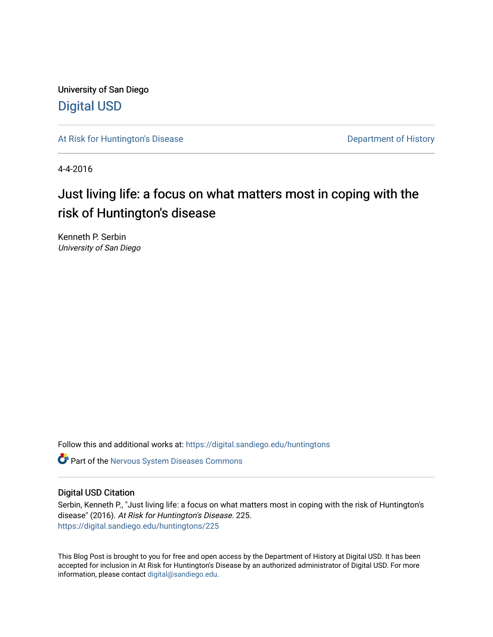University of San Diego [Digital USD](https://digital.sandiego.edu/)

[At Risk for Huntington's Disease](https://digital.sandiego.edu/huntingtons) **Department of History** Department of History

4-4-2016

# Just living life: a focus on what matters most in coping with the risk of Huntington's disease

Kenneth P. Serbin University of San Diego

Follow this and additional works at: [https://digital.sandiego.edu/huntingtons](https://digital.sandiego.edu/huntingtons?utm_source=digital.sandiego.edu%2Fhuntingtons%2F225&utm_medium=PDF&utm_campaign=PDFCoverPages)

**C** Part of the [Nervous System Diseases Commons](http://network.bepress.com/hgg/discipline/928?utm_source=digital.sandiego.edu%2Fhuntingtons%2F225&utm_medium=PDF&utm_campaign=PDFCoverPages)

# Digital USD Citation

Serbin, Kenneth P., "Just living life: a focus on what matters most in coping with the risk of Huntington's disease" (2016). At Risk for Huntington's Disease. 225. [https://digital.sandiego.edu/huntingtons/225](https://digital.sandiego.edu/huntingtons/225?utm_source=digital.sandiego.edu%2Fhuntingtons%2F225&utm_medium=PDF&utm_campaign=PDFCoverPages)

This Blog Post is brought to you for free and open access by the Department of History at Digital USD. It has been accepted for inclusion in At Risk for Huntington's Disease by an authorized administrator of Digital USD. For more information, please contact [digital@sandiego.edu.](mailto:digital@sandiego.edu)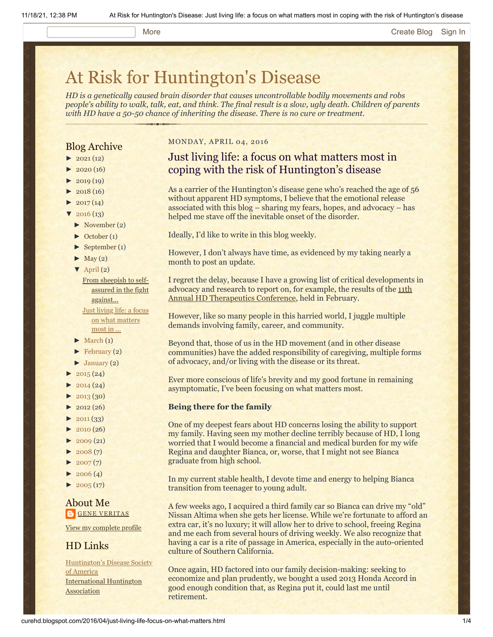### More **[Create Blog](https://www.blogger.com/home#create) [Sign In](https://www.blogger.com/)**

# [At Risk for Huntington's Disease](http://curehd.blogspot.com/)

*HD is a genetically caused brain disorder that causes uncontrollable bodily movements and robs people's ability to walk, talk, eat, and think. The final result is a slow, ugly death. Children of parents with HD have a 50-50 chance of inheriting the disease. There is no cure or treatment.*

# Blog Archive

- $\blacktriangleright$  [2021](http://curehd.blogspot.com/2021/) (12)
- $2020(16)$  $2020(16)$
- $2019(19)$  $2019(19)$
- $\blacktriangleright$  [2018](http://curehd.blogspot.com/2018/) (16)
- $2017(14)$  $2017(14)$
- $2016(13)$  $2016(13)$
- [►](javascript:void(0)) [November](http://curehd.blogspot.com/2016/11/) (2)
- [►](javascript:void(0)) [October](http://curehd.blogspot.com/2016/10/) (1)
- [►](javascript:void(0)) [September](http://curehd.blogspot.com/2016/09/) (1)
- $\blacktriangleright$  [May](http://curehd.blogspot.com/2016/05/) (2)
- $\nabla$  [April](http://curehd.blogspot.com/2016/04/) (2)

From sheepish to selfassured in the fight [against...](http://curehd.blogspot.com/2016/04/from-sheepish-to-self-assured-in-fight.html) Just living life: a focus on what [matters](http://curehd.blogspot.com/2016/04/just-living-life-focus-on-what-matters.html) most in ...

- $\blacktriangleright$  [March](http://curehd.blogspot.com/2016/03/) (1)
- $\blacktriangleright$  [February](http://curehd.blogspot.com/2016/02/) (2)
- $\blacktriangleright$  [January](http://curehd.blogspot.com/2016/01/) (2)
- $2015(24)$  $2015(24)$
- $2014(24)$  $2014(24)$
- $-2013(30)$  $-2013(30)$  $-2013(30)$
- $\blacktriangleright$  [2012](http://curehd.blogspot.com/2012/) (26)
- $\blacktriangleright$  [2011](http://curehd.blogspot.com/2011/) (33)
- [►](javascript:void(0)) [2010](http://curehd.blogspot.com/2010/) (26)
- $\blacktriangleright$  [2009](http://curehd.blogspot.com/2009/) (21)
- $-2008(7)$  $-2008(7)$  $-2008(7)$
- $\blacktriangleright$  [2007](http://curehd.blogspot.com/2007/) $(7)$
- $\blacktriangleright$  [2006](http://curehd.blogspot.com/2006/) (4)
- $\blacktriangleright$  [2005](http://curehd.blogspot.com/2005/) (17)

# About Me **GENE [VERITAS](https://www.blogger.com/profile/10911736205741688185)**

View my [complete](https://www.blogger.com/profile/10911736205741688185) profile

# HD Links

[Huntington's](http://www.hdsa.org/) Disease Society of America [International](http://www.huntington-assoc.com/) Huntington **Association** 

#### MONDAY, APRIL 04, 2016

# Just living life: a focus on what matters most in coping with the risk of Huntington's disease

As a carrier of the Huntington's disease gene who's reached the age of 56 without apparent HD symptoms, I believe that the emotional release associated with this blog – sharing my fears, hopes, and advocacy – has helped me stave off the inevitable onset of the disorder.

Ideally, I'd like to write in this blog weekly.

However, I don't always have time, as evidenced by my taking nearly a month to post an update.

I regret the delay, because I have a growing list of critical developments in advocacy and research to report on, for example, the results of the 11th [Annual HD Therapeutics Conference, held in February.](http://www.curehd.blogspot.com/2016/02/chief-huntingtons-disease-drug-hunter.html)

However, like so many people in this harried world, I juggle multiple demands involving family, career, and community.

Beyond that, those of us in the HD movement (and in other disease communities) have the added responsibility of caregiving, multiple forms of advocacy, and/or living with the disease or its threat.

Ever more conscious of life's brevity and my good fortune in remaining asymptomatic, I've been focusing on what matters most.

#### **Being there for the family**

One of my deepest fears about HD concerns losing the ability to support my family. Having seen my mother decline terribly because of HD, I long worried that I would become a financial and medical burden for my wife Regina and daughter Bianca, or, worse, that I might not see Bianca graduate from high school.

In my current stable health, I devote time and energy to helping Bianca transition from teenager to young adult.

A few weeks ago, I acquired a third family car so Bianca can drive my "old" Nissan Altima when she gets her license. While we're fortunate to afford an extra car, it's no luxury; it will allow her to drive to school, freeing Regina and me each from several hours of driving weekly. We also recognize that having a car is a rite of passage in America, especially in the auto-oriented culture of Southern California.

Once again, HD factored into our family decision-making: seeking to economize and plan prudently, we bought a used 2013 Honda Accord in good enough condition that, as Regina put it, could last me until retirement.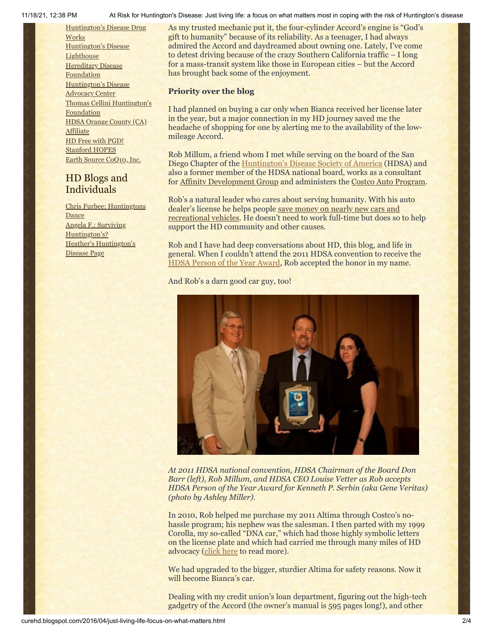11/18/21, 12:38 PM At Risk for Huntington's Disease: Just living life: a focus on what matters most in coping with the risk of Huntington's disease

[Huntington's](http://hddrugworks.org/) Disease Drug **Works** [Huntington's](http://www.hdlighthouse.org/) Disease **Lighthouse Hereditary Disease [Foundation](http://www.hdfoundation.org/)** [Huntington's](http://www.hdac.org/) Disease Advocacy Center Thomas [Cellini Huntington's](http://www.ourtchfoundation.org/) Foundation HDSA Orange County (CA) [Affiliate](http://www.hdsaoc.org/) HD Free with [PGD!](http://www.hdfreewithpgd.com/) [Stanford](http://www.stanford.edu/group/hopes/) HOPES Earth Source [CoQ10,](http://www.escoq10.com/) Inc.

# HD Blogs and Individuals

Chris Furbee: [Huntingtons](http://www.huntingtonsdance.org/) **Dance** Angela F.: Surviving [Huntington's?](http://survivinghuntingtons.blogspot.com/) Heather's [Huntington's](http://heatherdugdale.angelfire.com/) Disease Page

As my trusted mechanic put it, the four-cylinder Accord's engine is "God's gift to humanity" because of its reliability. As a teenager, I had always admired the Accord and daydreamed about owning one. Lately, I've come to detest driving because of the crazy Southern California traffic – I long for a mass-transit system like those in European cities – but the Accord has brought back some of the enjoyment.

## **Priority over the blog**

I had planned on buying a car only when Bianca received her license later in the year, but a major connection in my HD journey saved me the headache of shopping for one by alerting me to the availability of the lowmileage Accord.

Rob Millum, a friend whom I met while serving on the board of the San Diego Chapter of the [Huntington's Disease Society of America](http://www.hdsa.org/) (HDSA) and also a former member of the HDSA national board, works as a consultant for [Affinity Development Group](http://www.affinitydev.com/) and administers the [Costco Auto Program](http://www.costcoauto.com/).

Rob's a natural leader who cares about serving humanity. With his auto dealer's license he helps people save money on nearly new cars and [recreational vehicles. He doesn't need to work full-time but does so](http://www.autoandrvfinder.com/index.php) to help support the HD community and other causes.

Rob and I have had deep conversations about HD, this blog, and life in general. When I couldn't attend the 2011 HDSA convention to receive the [HDSA Person of the Year Award,](http://curehd.blogspot.com/2011/07/some-reflections-on-being-named-hdsa_08.html) Rob accepted the honor in my name.

## And Rob's a darn good car guy, too!



*At 2011 HDSA national convention, HDSA Chairman of the Board Don Barr (left), Rob Millum, and HDSA CEO Louise Vetter as Rob accepts HDSA Person of the Year Award for Kenneth P. Serbin (aka Gene Veritas) (photo by Ashley Miller).*

In 2010, Rob helped me purchase my 2011 Altima through Costco's nohassle program; his nephew was the salesman. I then parted with my 1999 Corolla, my so-called "DNA car," which had those highly symbolic letters on the license plate and which had carried me through many miles of HD advocacy [\(click here](http://curehd.blogspot.com/2011/01/memories-of-dna-car.html) to read more).

We had upgraded to the bigger, sturdier Altima for safety reasons. Now it will become Bianca's car.

Dealing with my credit union's loan department, figuring out the high-tech gadgetry of the Accord (the owner's manual is 595 pages long!), and other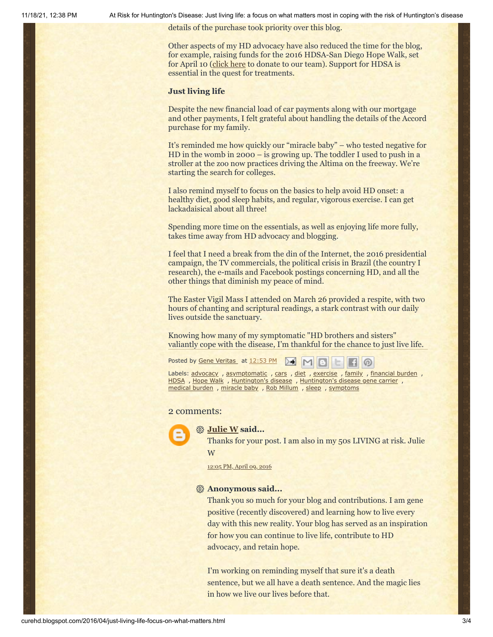11/18/21, 12:38 PM At Risk for Huntington's Disease: Just living life: a focus on what matters most in coping with the risk of Huntington's disease

details of the purchase took priority over this blog.

Other aspects of my HD advocacy have also reduced the time for the blog, for example, raising funds for the 2016 HDSA-San Diego Hope Walk, set for April 10 ([click here](http://hdsa.donordrive.com/index.cfm?fuseaction=donorDrive.participant&participantID=14714) to donate to our team). Support for HDSA is essential in the quest for treatments.

#### **Just living life**

Despite the new financial load of car payments along with our mortgage and other payments, I felt grateful about handling the details of the Accord purchase for my family.

It's reminded me how quickly our "miracle baby" – who tested negative for HD in the womb in 2000 – is growing up. The toddler I used to push in a stroller at the zoo now practices driving the Altima on the freeway. We're starting the search for colleges.

I also remind myself to focus on the basics to help avoid HD onset: a healthy diet, good sleep habits, and regular, vigorous exercise. I can get lackadaisical about all three!

Spending more time on the essentials, as well as enjoying life more fully, takes time away from HD advocacy and blogging.

I feel that I need a break from the din of the Internet, the 2016 presidential campaign, the TV commercials, the political crisis in Brazil (the country I research), the e-mails and Facebook postings concerning HD, and all the other things that diminish my peace of mind.

The Easter Vigil Mass I attended on March 26 provided a respite, with two hours of chanting and scriptural readings, a stark contrast with our daily lives outside the sanctuary.

Knowing how many of my symptomatic "HD brothers and sisters" valiantly cope with the disease, I'm thankful for the chance to just live life.

Posted by Gene [Veritas](https://www.blogger.com/profile/03599828959793084715) at [12:53](http://curehd.blogspot.com/2016/04/just-living-life-focus-on-what-matters.html) PM

Labels: [advocacy](http://curehd.blogspot.com/search/label/advocacy), [asymptomatic](http://curehd.blogspot.com/search/label/asymptomatic), [cars](http://curehd.blogspot.com/search/label/cars), [diet](http://curehd.blogspot.com/search/label/diet), [exercise](http://curehd.blogspot.com/search/label/exercise), [family](http://curehd.blogspot.com/search/label/family), [financial](http://curehd.blogspot.com/search/label/financial%20burden) burden, [HDSA](http://curehd.blogspot.com/search/label/HDSA), [Hope](http://curehd.blogspot.com/search/label/Hope%20Walk) Walk, [Huntington's](http://curehd.blogspot.com/search/label/Huntington%27s%20disease%20gene%20carrier) disease, Huntington's disease gene carrier, [medical](http://curehd.blogspot.com/search/label/medical%20burden) burden, [miracle](http://curehd.blogspot.com/search/label/miracle%20baby) baby, Rob [Millum](http://curehd.blogspot.com/search/label/Rob%20Millum), [sleep](http://curehd.blogspot.com/search/label/sleep), [symptoms](http://curehd.blogspot.com/search/label/symptoms)

#### 2 comments:



#### **[Julie W](https://www.blogger.com/profile/11255705901359591951) said...**

Thanks for your post. I am also in my 50s LIVING at risk. Julie W

[12:05](http://curehd.blogspot.com/2016/04/just-living-life-focus-on-what-matters.html?showComment=1460228718868#c2944497448959597858) PM, April 09, 2016

#### **Anonymous said...**

Thank you so much for your blog and contributions. I am gene positive (recently discovered) and learning how to live every day with this new reality. Your blog has served as an inspiration for how you can continue to live life, contribute to HD advocacy, and retain hope.

I'm working on reminding myself that sure it's a death sentence, but we all have a death sentence. And the magic lies in how we live our lives before that.